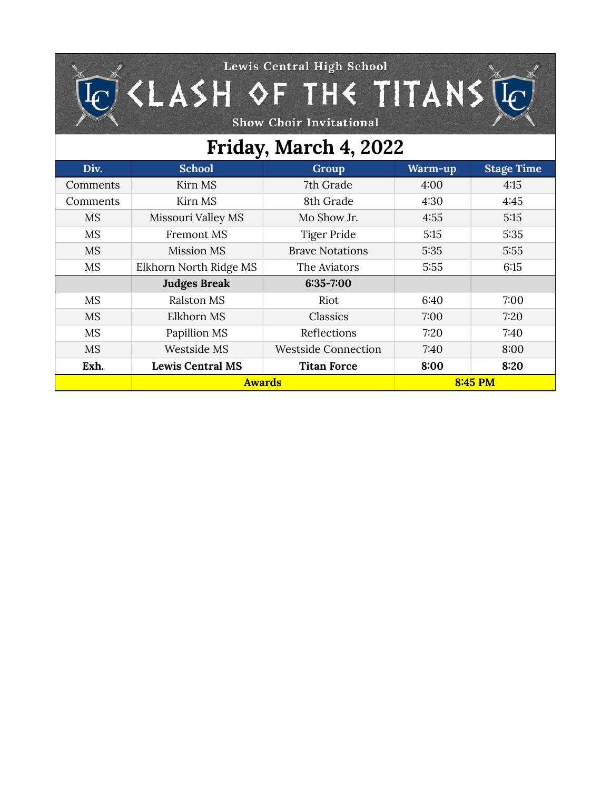## Lewis Central High School  $\widehat{\mathbb{C}}$  <LASH QF THE TITANS  $\widehat{\mathbb{C}}$

Show Choir Invitational

## **Friday, March 4, 2022**

| Div.      | <b>School</b>           | <b>Group</b>               | Warm-up | <b>Stage Time</b> |
|-----------|-------------------------|----------------------------|---------|-------------------|
| Comments  | Kirn MS                 | 7th Grade                  | 4:00    | 4:15              |
| Comments  | Kirn MS                 | 8th Grade                  | 4:30    | 4:45              |
| <b>MS</b> | Missouri Valley MS      | Mo Show Jr.                | 4:55    | 5:15              |
| <b>MS</b> | <b>Fremont MS</b>       | Tiger Pride                | 5:15    | 5:35              |
| <b>MS</b> | Mission MS              | <b>Brave Notations</b>     | 5:35    | 5:55              |
| <b>MS</b> | Elkhorn North Ridge MS  | The Aviators               | 5:55    | 6:15              |
|           | <b>Judges Break</b>     | $6:35 - 7:00$              |         |                   |
| <b>MS</b> | Ralston MS              | Riot                       | 6:40    | 7:00              |
| <b>MS</b> | Elkhorn MS              | Classics                   | 7:00    | 7:20              |
| <b>MS</b> | Papillion MS            | Reflections                | 7:20    | 7:40              |
| <b>MS</b> | Westside MS             | <b>Westside Connection</b> | 7:40    | 8:00              |
| Exh.      | <b>Lewis Central MS</b> | <b>Titan Force</b>         | 8:00    | 8:20              |
|           | <b>Awards</b>           |                            | 8:45 PM |                   |